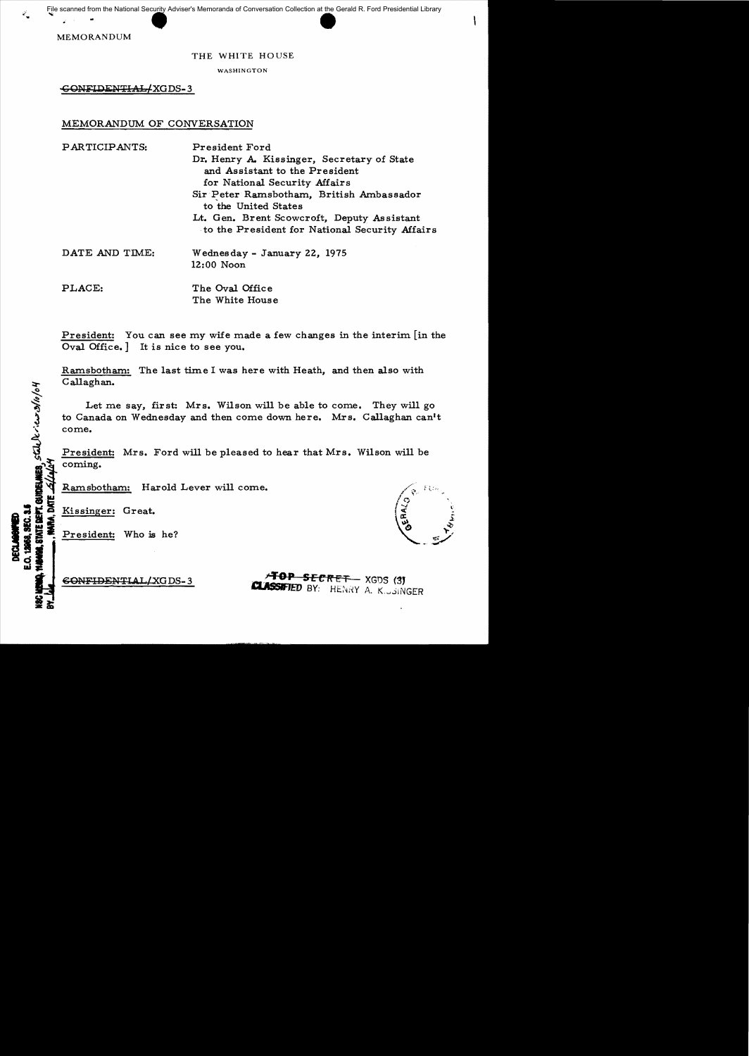### THE WHITE HOUSE

WASHINGTON

GONFIDENTIAL/XGDS-3

## MEMORANDUM OF CONVERSATION

| PARTICIPANTS:  | President Ford                                                                               |
|----------------|----------------------------------------------------------------------------------------------|
|                | Dr. Henry A. Kissinger, Secretary of State                                                   |
|                | and Assistant to the President                                                               |
|                | for National Security Affairs                                                                |
|                | Sir Peter Ramsbotham, British Ambassador<br>to the United States                             |
|                | Lt. Gen. Brent Scowcroft, Deputy Assistant<br>to the President for National Security Affairs |
| DATE AND TIME: | Wednesday - January 22, 1975<br>12:00 Noon                                                   |
| PLACE:         | The Oval Office                                                                              |
|                | The White House                                                                              |

President: You can see my wife made a few changes in the interim [in the Oval Office. ] It is nice to see you.

Ramsbotham: The last time I was here with Heath, and then also with Callaghan.

Let me say, first: Mrs. Wilson will be able to come. They will go to Canada on Wednesday and then come down here. Mrs. Callaghan can't come.

President: Mrs. Ford will be pleased to hear that Mrs. Wilson will be ~~ coming.

I~ Ramsbotham: Harold Lever will come.<br>
I~ Ramsbotham: Harold Lever will come.<br>
So so that is singer: Great.<br>
President: Who is he?<br>
in the same of the same of the same of the same of the same of the same of the same of th

STATE BEPT. GUTDELINES. STAL DE .. C.L. 3/10/04

**EXECUTE:** Creat.

 $\overline{G}$ ONFIDENTIAL/XGDS-3  $\overline{G}$ **CLASSIFIED BY:** HENRY A. K. JSINGER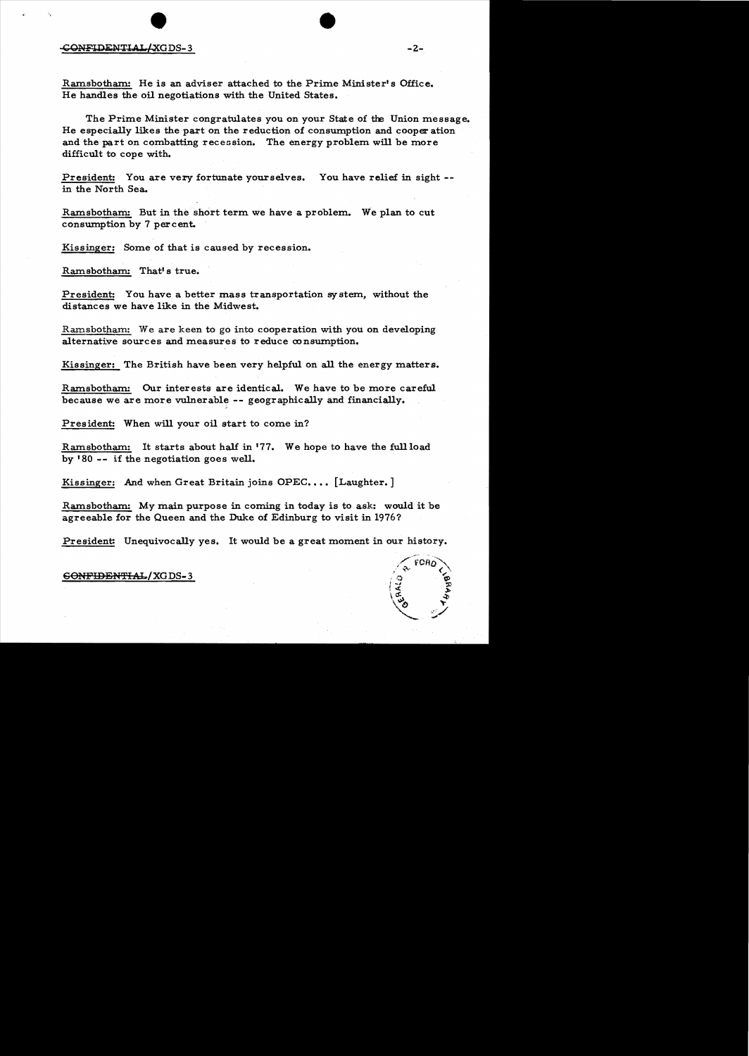#### seONiFlllli:N'I'I A.L/XGDS- 3 -2

Ramsbotham: He is an adviser attached to the Prime Minister's Office. He handles the oil negotiations with the United States.

The Prime Minister congratulates you on your State of the Union message. He especially likes the part on the reduction of consumption and cooper ation and the part on combatting recession. The energy problem will be more difficult to cope with.

President: You are very fortunate yourselves. You have relief in sight in the North Sea.

Ramsbotham: But in the short term we have a problem. We plan to cut consumption by 7 percent.

Kissinger: Some of that is caused by recession.

Ramsbotham: That's true.

President: You have a better mass transportation system, without the distances we have like in the Midwest.

Ramsbotham: We are keen to go into cooperation with you on developing alternative sources and measures to reduce consumption.

Kissinger: The British have been very helpful on all the energy matters.

Ramsbotham: Our interests are identical. We have to be more careful because we are more vulnerable **--** geographically and financially.

President: When will your oil start to come in?

Ramsbotham: It starts about half in '77. We hope to have the full load by  $180 - i$  if the negotiation goes well.

Kissinger: And when Great Britain joins OPEC.... [Laughter.]

Ramsbotham: My main purpose in coming in today is to ask: would it be agreeable for the Queen and the Duke of Edinburg to visit in 1976?

President: Unequivocally yes. It would be a great moment in our history.

#### SONFIDEN'fI:Al../XGDS- 3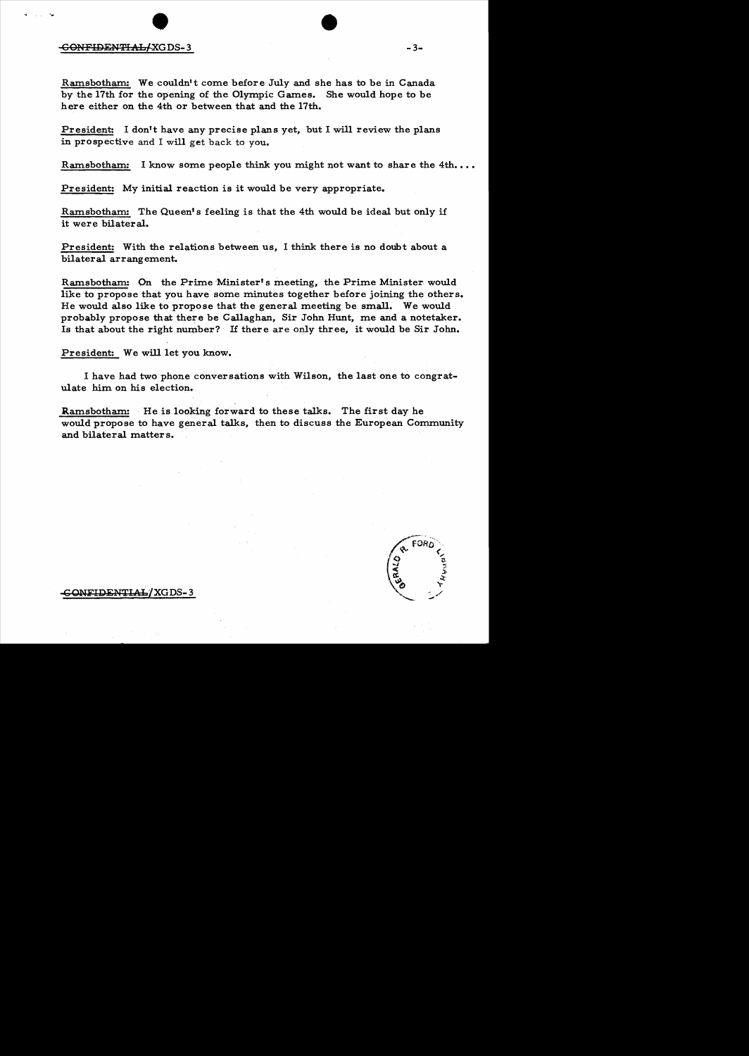# enFIDENTIAL/XGD  $DS-3$  -3-

Ramsbotham: We couldn't come before July and she has to be in Canada by the 17th for the opening of the Olympic Games. She would hope to be here either on the 4th or between that and the 17th.

President: I don't have any precise plans yet, but I will review the plans in prospective and I will get back to you.

Ramsbotham: I know some people think you might not want to share the  $4th...$ 

President: My initial reaction is it would be very appropriate.

Ramsbotham: The Queen's feeling is that the 4th would be ideal but only if it were bilateral.

President: With the relations between us, I think there is no doubt about a bilateral arrangement.

Ramsbotham: On the Prime Minister's meeting, the Prime Minister would like to propose that you have some minutes together before joining the others. He would also like to propose that the general meeting be small. We would probably propose that thete be Callaghan, Sir John Hunt, me and a notetaker. Is that about the right number? If there are only three, it would be Sir John.

President: We will let you know.

I have had two phone conversations with Wilson, the last one to congratulate him on his election.

Ramsbotham: He is looking forward to these talks. The first day he would propose to have general talks, then to discuss the European Community and bilateral matters.

<del>.C ONFIDENTIAL</del> / XGDS- 3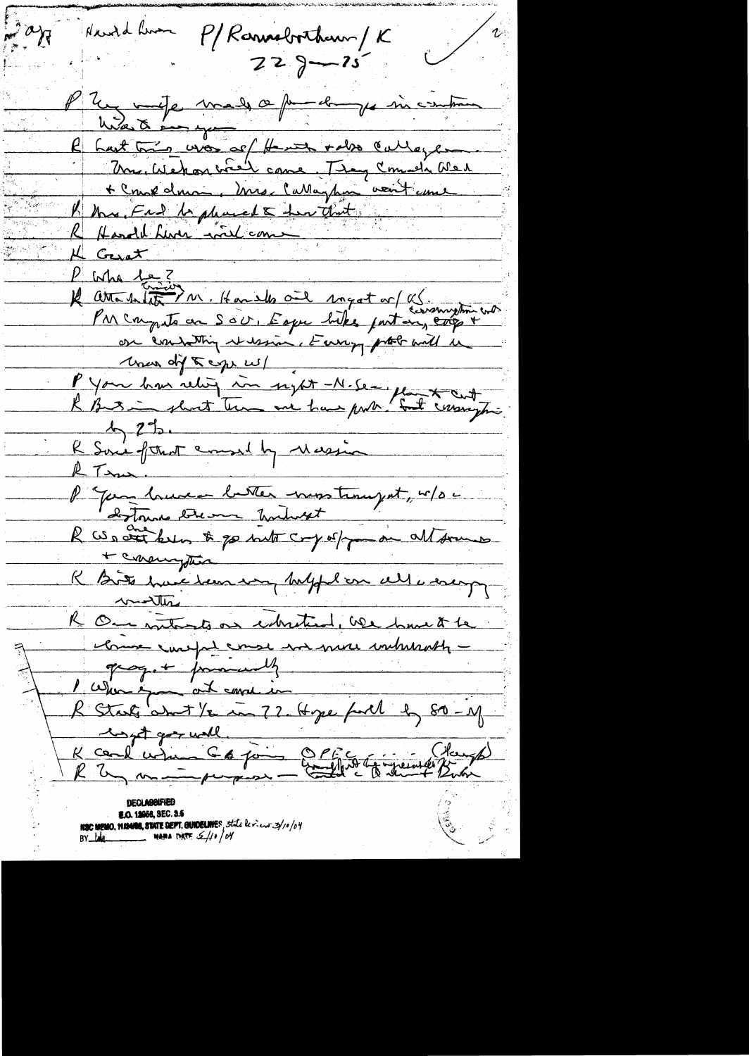$\int d^3x$ Harold Liven P/Rannabortham / K  $229 - 15$ Unate made a pour la micentine hast this was as the with rabo cullage Mr. Wehon wiel came They Comeda Wer + Crank donc in mes Callaghan voit anne B this Frd be phased & her that Handel Luci Lord com Gerat  $\mathcal{L}_ P$  who  $1e$ ? Il attendate M. Handles ail inget or US incomption into on contatting version, Europe probabil in Mar dif t eige w/<br>P you has relief in sight - N. Se - plant cut K Some former amond by Massive RTan P " Your hune better moster payent, " / 0 c + consingtion R Bits have been very helph on all a sacry months R On intents on intention, we have the K Starts am ...<br>K coul when C & joint 2 P faith to greent Butch **E.O. 12058, SEC. 3.5 NSC MEMO, MISANG, STATE DEPT, GUIDELINE**S, State levient 3/10/04<br>BY Ling